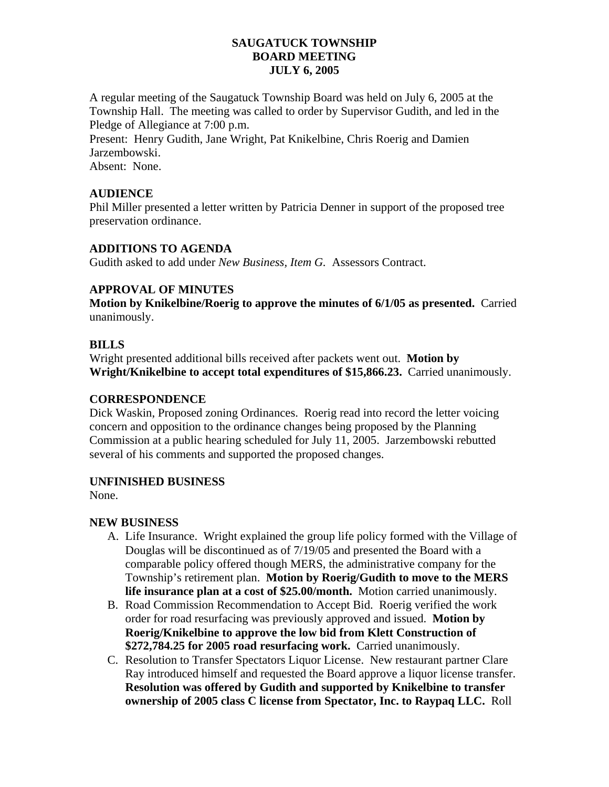### **SAUGATUCK TOWNSHIP BOARD MEETING JULY 6, 2005**

A regular meeting of the Saugatuck Township Board was held on July 6, 2005 at the Township Hall. The meeting was called to order by Supervisor Gudith, and led in the Pledge of Allegiance at 7:00 p.m.

Present: Henry Gudith, Jane Wright, Pat Knikelbine, Chris Roerig and Damien Jarzembowski. Absent: None.

## **AUDIENCE**

Phil Miller presented a letter written by Patricia Denner in support of the proposed tree preservation ordinance.

## **ADDITIONS TO AGENDA**

Gudith asked to add under *New Business, Item G.* Assessors Contract.

# **APPROVAL OF MINUTES**

**Motion by Knikelbine/Roerig to approve the minutes of 6/1/05 as presented.** Carried unanimously.

## **BILLS**

Wright presented additional bills received after packets went out. **Motion by Wright/Knikelbine to accept total expenditures of \$15,866.23.** Carried unanimously.

### **CORRESPONDENCE**

Dick Waskin, Proposed zoning Ordinances. Roerig read into record the letter voicing concern and opposition to the ordinance changes being proposed by the Planning Commission at a public hearing scheduled for July 11, 2005. Jarzembowski rebutted several of his comments and supported the proposed changes.

# **UNFINISHED BUSINESS**

None.

# **NEW BUSINESS**

- A. Life Insurance. Wright explained the group life policy formed with the Village of Douglas will be discontinued as of 7/19/05 and presented the Board with a comparable policy offered though MERS, the administrative company for the Township's retirement plan. **Motion by Roerig/Gudith to move to the MERS life insurance plan at a cost of \$25.00/month.** Motion carried unanimously.
- B. Road Commission Recommendation to Accept Bid. Roerig verified the work order for road resurfacing was previously approved and issued. **Motion by Roerig/Knikelbine to approve the low bid from Klett Construction of \$272,784.25 for 2005 road resurfacing work.** Carried unanimously.
- C. Resolution to Transfer Spectators Liquor License. New restaurant partner Clare Ray introduced himself and requested the Board approve a liquor license transfer. **Resolution was offered by Gudith and supported by Knikelbine to transfer ownership of 2005 class C license from Spectator, Inc. to Raypaq LLC.** Roll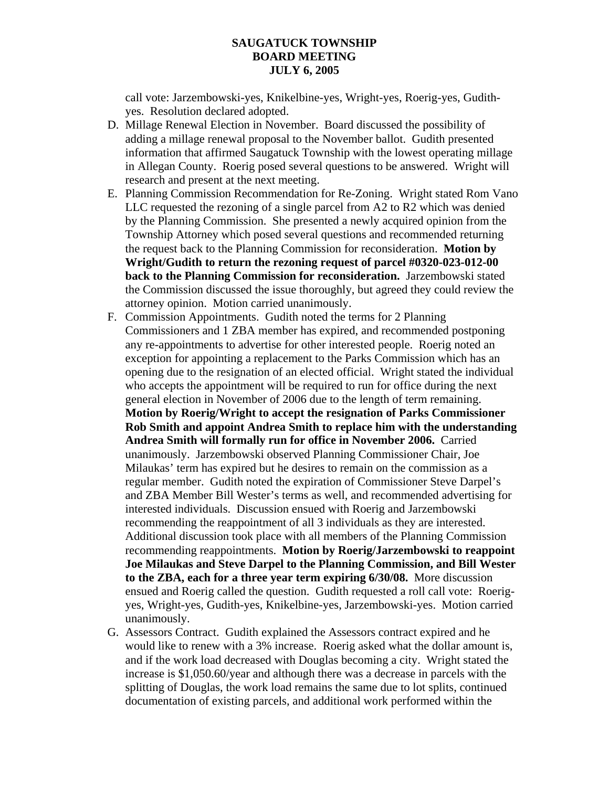#### **SAUGATUCK TOWNSHIP BOARD MEETING JULY 6, 2005**

call vote: Jarzembowski-yes, Knikelbine-yes, Wright-yes, Roerig-yes, Gudithyes. Resolution declared adopted.

- D. Millage Renewal Election in November. Board discussed the possibility of adding a millage renewal proposal to the November ballot. Gudith presented information that affirmed Saugatuck Township with the lowest operating millage in Allegan County. Roerig posed several questions to be answered. Wright will research and present at the next meeting.
- E. Planning Commission Recommendation for Re-Zoning. Wright stated Rom Vano LLC requested the rezoning of a single parcel from A2 to R2 which was denied by the Planning Commission. She presented a newly acquired opinion from the Township Attorney which posed several questions and recommended returning the request back to the Planning Commission for reconsideration. **Motion by Wright/Gudith to return the rezoning request of parcel #0320-023-012-00 back to the Planning Commission for reconsideration.** Jarzembowski stated the Commission discussed the issue thoroughly, but agreed they could review the attorney opinion. Motion carried unanimously.
- F. Commission Appointments. Gudith noted the terms for 2 Planning Commissioners and 1 ZBA member has expired, and recommended postponing any re-appointments to advertise for other interested people. Roerig noted an exception for appointing a replacement to the Parks Commission which has an opening due to the resignation of an elected official. Wright stated the individual who accepts the appointment will be required to run for office during the next general election in November of 2006 due to the length of term remaining. **Motion by Roerig/Wright to accept the resignation of Parks Commissioner Rob Smith and appoint Andrea Smith to replace him with the understanding Andrea Smith will formally run for office in November 2006.** Carried unanimously. Jarzembowski observed Planning Commissioner Chair, Joe Milaukas' term has expired but he desires to remain on the commission as a regular member. Gudith noted the expiration of Commissioner Steve Darpel's and ZBA Member Bill Wester's terms as well, and recommended advertising for interested individuals. Discussion ensued with Roerig and Jarzembowski recommending the reappointment of all 3 individuals as they are interested. Additional discussion took place with all members of the Planning Commission recommending reappointments. **Motion by Roerig/Jarzembowski to reappoint Joe Milaukas and Steve Darpel to the Planning Commission, and Bill Wester to the ZBA, each for a three year term expiring 6/30/08.** More discussion ensued and Roerig called the question. Gudith requested a roll call vote: Roerigyes, Wright-yes, Gudith-yes, Knikelbine-yes, Jarzembowski-yes. Motion carried unanimously.
- G. Assessors Contract. Gudith explained the Assessors contract expired and he would like to renew with a 3% increase. Roerig asked what the dollar amount is, and if the work load decreased with Douglas becoming a city. Wright stated the increase is \$1,050.60/year and although there was a decrease in parcels with the splitting of Douglas, the work load remains the same due to lot splits, continued documentation of existing parcels, and additional work performed within the